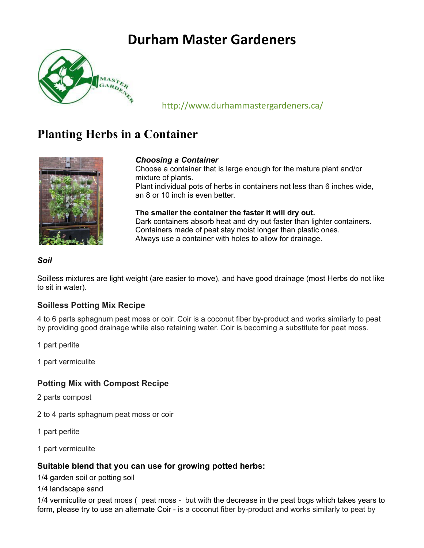# **Durham Master Gardeners**



## http://www.durhammastergardeners.ca/

## **Planting Herbs in a Container**



## *Choosing a Container*

Choose a container that is large enough for the mature plant and/or mixture of plants.

Plant individual pots of herbs in containers not less than 6 inches wide, an 8 or 10 inch is even better.

**The smaller the container the faster it will dry out.** Dark containers absorb heat and dry out faster than lighter containers. Containers made of peat stay moist longer than plastic ones. Always use a container with holes to allow for drainage.

## *Soil*

Soilless mixtures are light weight (are easier to move), and have good drainage (most Herbs do not like to sit in water).

## **Soilless Potting Mix Recipe**

4 to 6 parts sphagnum peat moss or coir. Coir is a coconut fiber by-product and works similarly to peat by providing good drainage while also retaining water. Coir is becoming a substitute for peat moss.

1 part perlite

1 part vermiculite

## **Potting Mix with Compost Recipe**

2 parts compost

- 2 to 4 parts sphagnum peat moss or coir
- 1 part perlite
- 1 part vermiculite

## **Suitable blend that you can use for growing potted herbs:**

1/4 garden soil or potting soil

1/4 landscape sand

1/4 vermiculite or peat moss ( peat moss - but with the decrease in the peat bogs which takes years to form, please try to use an alternate Coir - is a coconut fiber by-product and works similarly to peat by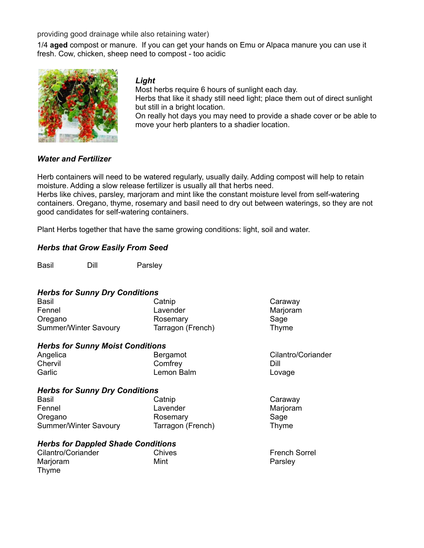providing good drainage while also retaining water)

1/4 **aged** compost or manure. If you can get your hands on Emu or Alpaca manure you can use it fresh. Cow, chicken, sheep need to compost - too acidic



*Light*

Most herbs require 6 hours of sunlight each day.

Herbs that like it shady still need light; place them out of direct sunlight but still in a bright location.

On really hot days you may need to provide a shade cover or be able to move your herb planters to a shadier location.

#### *Water and Fertilizer*

Herb containers will need to be watered regularly, usually daily. Adding compost will help to retain moisture. Adding a slow release fertilizer is usually all that herbs need.

Herbs like chives, parsley, marjoram and mint like the constant moisture level from self-watering containers. Oregano, thyme, rosemary and basil need to dry out between waterings, so they are not good candidates for self-watering containers.

Plant Herbs together that have the same growing conditions: light, soil and water.

#### *Herbs that Grow Easily From Seed*

Basil Dill Parsley

#### *Herbs for Sunny Dry Conditions*

| <b>Basil</b>                 | Catnip            | Caraway  |
|------------------------------|-------------------|----------|
| Fennel                       | Lavender          | Marjoram |
| Oregano                      | Rosemary          | Sage     |
| <b>Summer/Winter Savoury</b> | Tarragon (French) | Thyme    |

#### *Herbs for Sunny Moist Conditions*

| Angelica | Bergamot   | Cilantro/Coriander |
|----------|------------|--------------------|
| Chervil  | Comfrey    | Dill               |
| Garlic   | Lemon Balm | Lovage             |

#### *Herbs for Sunny Dry Conditions*

| <b>Basil</b>          | Catnip            | Caraway  |
|-----------------------|-------------------|----------|
| Fennel                | Lavender          | Marjoram |
| Oregano               | Rosemary          | Sage     |
| Summer/Winter Savoury | Tarragon (French) | Thyme    |

#### *Herbs for Dappled Shade Conditions*

| Cilantro/Coriander | Chives | <b>French Sorrel</b> |
|--------------------|--------|----------------------|
| Marjoram           | Mint   | Parsley              |
| Thyme              |        |                      |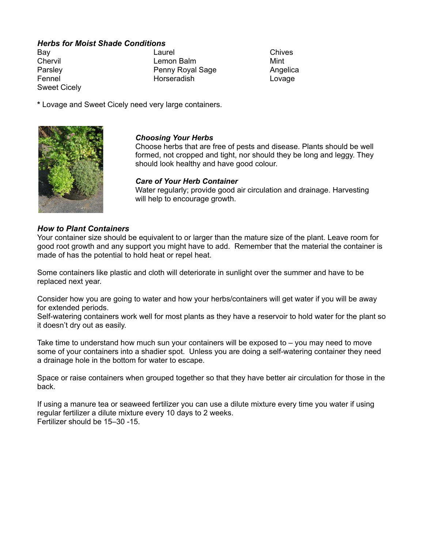## *Herbs for Moist Shade Conditions*

Sweet Cicely

Bay **Chives Chives Chives Chives** Chervil Lemon Balm Mint Parsley **Particle Communist Penny Royal Sage Angelica** Fennel **Horseradish** Horseradish Lovage

**\*** Lovage and Sweet Cicely need very large containers.



## *Choosing Your Herbs*

Choose herbs that are free of pests and disease. Plants should be well formed, not cropped and tight, nor should they be long and leggy. They should look healthy and have good colour.

#### *Care of Your Herb Container*

Water regularly; provide good air circulation and drainage. Harvesting will help to encourage growth.

#### *How to Plant Containers*

Your container size should be equivalent to or larger than the mature size of the plant. Leave room for good root growth and any support you might have to add. Remember that the material the container is made of has the potential to hold heat or repel heat.

Some containers like plastic and cloth will deteriorate in sunlight over the summer and have to be replaced next year.

Consider how you are going to water and how your herbs/containers will get water if you will be away for extended periods.

Self-watering containers work well for most plants as they have a reservoir to hold water for the plant so it doesn't dry out as easily.

Take time to understand how much sun your containers will be exposed to  $-$  you may need to move some of your containers into a shadier spot. Unless you are doing a self-watering container they need a drainage hole in the bottom for water to escape.

Space or raise containers when grouped together so that they have better air circulation for those in the back.

If using a manure tea or seaweed fertilizer you can use a dilute mixture every time you water if using regular fertilizer a dilute mixture every 10 days to 2 weeks. Fertilizer should be 15–30 -15.